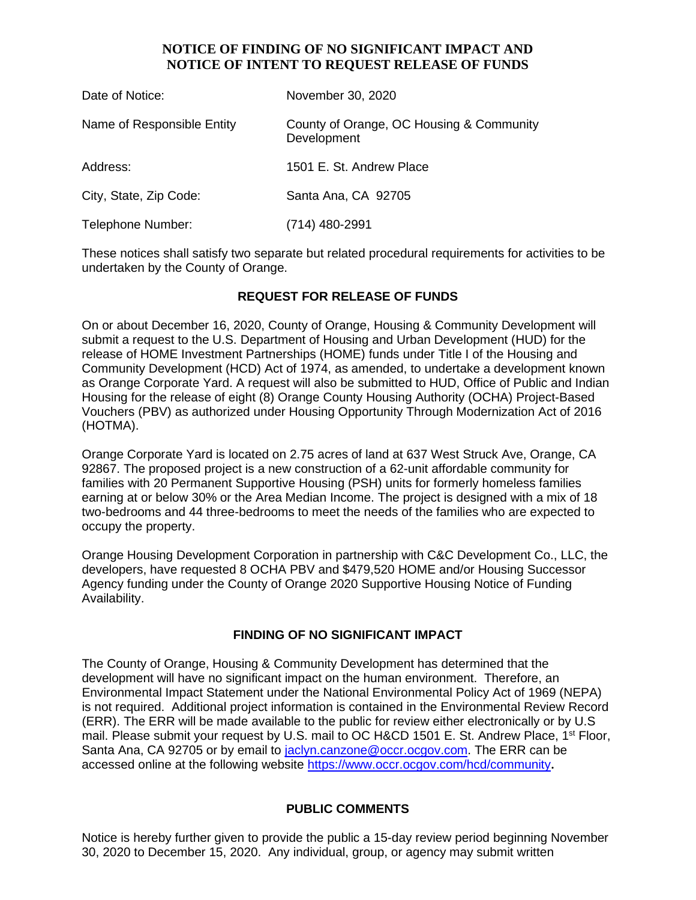### **NOTICE OF FINDING OF NO SIGNIFICANT IMPACT AND NOTICE OF INTENT TO REQUEST RELEASE OF FUNDS**

| Date of Notice:            | November 30, 2020                                       |
|----------------------------|---------------------------------------------------------|
| Name of Responsible Entity | County of Orange, OC Housing & Community<br>Development |
| Address:                   | 1501 E. St. Andrew Place                                |
| City, State, Zip Code:     | Santa Ana, CA 92705                                     |
| Telephone Number:          | (714) 480-2991                                          |

These notices shall satisfy two separate but related procedural requirements for activities to be undertaken by the County of Orange.

## **REQUEST FOR RELEASE OF FUNDS**

On or about December 16, 2020, County of Orange, Housing & Community Development will submit a request to the U.S. Department of Housing and Urban Development (HUD) for the release of HOME Investment Partnerships (HOME) funds under Title I of the Housing and Community Development (HCD) Act of 1974, as amended, to undertake a development known as Orange Corporate Yard. A request will also be submitted to HUD, Office of Public and Indian Housing for the release of eight (8) Orange County Housing Authority (OCHA) Project-Based Vouchers (PBV) as authorized under Housing Opportunity Through Modernization Act of 2016 (HOTMA).

Orange Corporate Yard is located on 2.75 acres of land at 637 West Struck Ave, Orange, CA 92867. The proposed project is a new construction of a 62-unit affordable community for families with 20 Permanent Supportive Housing (PSH) units for formerly homeless families earning at or below 30% or the Area Median Income. The project is designed with a mix of 18 two-bedrooms and 44 three-bedrooms to meet the needs of the families who are expected to occupy the property.

Orange Housing Development Corporation in partnership with C&C Development Co., LLC, the developers, have requested 8 OCHA PBV and \$479,520 HOME and/or Housing Successor Agency funding under the County of Orange 2020 Supportive Housing Notice of Funding Availability.

#### **FINDING OF NO SIGNIFICANT IMPACT**

The County of Orange, Housing & Community Development has determined that the development will have no significant impact on the human environment. Therefore, an Environmental Impact Statement under the National Environmental Policy Act of 1969 (NEPA) is not required. Additional project information is contained in the Environmental Review Record (ERR). The ERR will be made available to the public for review either electronically or by U.S mail. Please submit your request by U.S. mail to OC H&CD 1501 E. St. Andrew Place, 1<sup>st</sup> Floor, Santa Ana, CA 92705 or by email to [jaclyn.canzone@occr.ocgov.com.](mailto:jaclyn.canzone@occr.ocgov.com) The ERR can be accessed online at the following website https://www.occr.ocgov.com/hcd/community**.**

#### **PUBLIC COMMENTS**

Notice is hereby further given to provide the public a 15-day review period beginning November 30, 2020 to December 15, 2020. Any individual, group, or agency may submit written